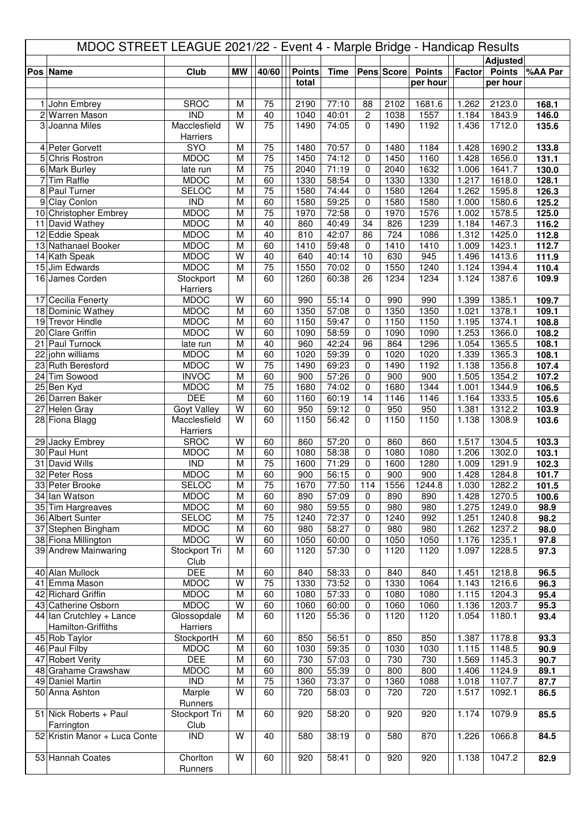| MDOC STREET LEAGUE 2021/22 - Event 4 - Marple Bridge - Handicap Results |                                 |                            |                         |                 |                        |                |                   |              |               |                |                           |         |
|-------------------------------------------------------------------------|---------------------------------|----------------------------|-------------------------|-----------------|------------------------|----------------|-------------------|--------------|---------------|----------------|---------------------------|---------|
|                                                                         |                                 | <b>Club</b>                | <b>MW</b>               | 40/60           |                        |                |                   |              | <b>Points</b> | Factor         | <b>Adjusted</b>           |         |
|                                                                         | Pos Name                        |                            |                         |                 | <b>Points</b><br>total | <b>Time</b>    |                   | Pens Score   | per hour      |                | <b>Points</b><br>per hour | %AA Par |
|                                                                         |                                 |                            |                         |                 |                        |                |                   |              |               |                |                           |         |
| 1 <sup>1</sup>                                                          | John Embrey                     | <b>SROC</b>                | M                       | 75              | 2190                   | 77:10          | 88                | 2102         | 1681.6        | 1.262          | 2123.0                    | 168.1   |
|                                                                         | 2 Warren Mason                  | <b>IND</b>                 | M                       | 40              | 1040                   | 40:01          | $\overline{c}$    | 1038         | 1557          | 1.184          | 1843.9                    | 146.0   |
|                                                                         | 3 Joanna Miles                  | Macclesfield               | W                       | 75              | 1490                   | 74:05          | $\Omega$          | 1490         | 1192          | 1.436          | 1712.0                    | 135.6   |
|                                                                         |                                 | Harriers                   |                         |                 |                        |                |                   |              |               |                |                           |         |
|                                                                         | 4 Peter Gorvett                 | <b>SYO</b>                 | M                       | $\overline{75}$ | 1480                   | 70:57          | $\mathbf 0$       | 1480         | 1184          | 1.428          | 1690.2                    | 133.8   |
|                                                                         | 5 Chris Rostron                 | <b>MDOC</b>                | M                       | $\overline{75}$ | 1450                   | 74:12          | 0                 | 1450         | 1160          | 1.428          | 1656.0                    | 131.1   |
|                                                                         | 6 Mark Burley                   | late run                   | M                       | 75              | 2040                   | 71:19          | 0                 | 2040         | 1632          | 1.006          | 1641.7                    | 130.0   |
| 7                                                                       | <b>Tim Raffle</b>               | <b>MDOC</b>                | M                       | 60              | 1330                   | 58:54          | 0                 | 1330         | 1330          | 1.217          | 1618.0                    | 128.1   |
|                                                                         | 8 Paul Turner                   | <b>SELOC</b>               | M                       | $\overline{75}$ | 1580                   | 74:44          | 0                 | 1580         | 1264          | 1.262          | 1595.8                    | 126.3   |
|                                                                         | 9 Clay Conlon                   | <b>IND</b>                 | M                       | 60              | 1580                   | 59:25          | $\mathbf 0$       | 1580         | 1580          | 1.000          | 1580.6                    | 125.2   |
|                                                                         | 10 Christopher Embrey           | <b>MDOC</b>                | M                       | $\overline{75}$ | 1970                   | 72:58          | $\mathbf 0$       | 1970         | 1576          | 1.002          | 1578.5                    | 125.0   |
|                                                                         | 11 David Wathey                 | <b>MDOC</b>                | M                       | 40              | 860                    | 40:49          | 34                | 826          | 1239          | 1.184          | 1467.3                    | 116.2   |
|                                                                         | 12 Eddie Speak                  | <b>MDOC</b>                | M                       | 40              | 810                    | 42:07          | 86                | 724          | 1086          | 1.312          | 1425.0                    | 112.8   |
|                                                                         | 13 Nathanael Booker             | <b>MDOC</b>                | M                       | 60              | 1410                   | 59:48          | $\Omega$          | 1410         | 1410          | 1.009          | 1423.1                    | 112.7   |
|                                                                         | 14 Kath Speak<br>15 Jim Edwards | <b>MDOC</b><br><b>MDOC</b> | W<br>$\overline{M}$     | 40<br>75        | 640<br>1550            | 40:14<br>70:02 | 10<br>$\mathbf 0$ | 630<br>1550  | 945<br>1240   | 1.496<br>1.124 | 1413.6<br>1394.4          | 111.9   |
|                                                                         | 16 James Corden                 |                            | M                       | 60              | 1260                   | 60:38          | 26                | 1234         | 1234          | 1.124          | 1387.6                    | 110.4   |
|                                                                         |                                 | Stockport<br>Harriers      |                         |                 |                        |                |                   |              |               |                |                           | 109.9   |
|                                                                         | 17 Cecilia Fenerty              | <b>MDOC</b>                | W                       | 60              | 990                    | 55:14          | 0                 | 990          | 990           | 1.399          | 1385.1                    | 109.7   |
|                                                                         | 18 Dominic Wathey               | <b>MDOC</b>                | M                       | 60              | 1350                   | 57:08          | 0                 | 1350         | 1350          | 1.021          | 1378.1                    | 109.1   |
|                                                                         | 19 Trevor Hindle                | <b>MDOC</b>                | M                       | 60              | 1150                   | 59:47          | $\mathbf 0$       | 1150         | 1150          | 1.195          | 1374.1                    | 108.8   |
|                                                                         | 20 Clare Griffin                | <b>MDOC</b>                | W                       | 60              | 1090                   | 58:59          | $\mathbf 0$       | 1090         | 1090          | 1.253          | 1366.0                    | 108.2   |
|                                                                         | 21 Paul Turnock                 | late run                   | M                       | 40              | 960                    | 42:24          | 96                | 864          | 1296          | 1.054          | 1365.5                    | 108.1   |
|                                                                         | 22 john williams                | <b>MDOC</b>                | M                       | 60              | 1020                   | 59:39          | 0                 | 1020         | 1020          | 1.339          | 1365.3                    | 108.1   |
|                                                                         | 23 Ruth Beresford               | <b>MDOC</b>                | $\overline{\mathsf{W}}$ | 75              | 1490                   | 69:23          | 0                 | 1490         | 1192          | 1.138          | 1356.8                    | 107.4   |
|                                                                         | 24 Tim Sowood                   | <b>INVOC</b>               | M                       | 60              | 900                    | 57:26          | $\Omega$          | 900          | 900           | 1.505          | 1354.2                    | 107.2   |
|                                                                         | 25 Ben Kyd                      | <b>MDOC</b>                | M                       | 75              | 1680                   | 74:02          | $\mathbf 0$       | 1680         | 1344          | 1.001          | 1344.9                    | 106.5   |
|                                                                         | 26 Darren Baker                 | <b>DEE</b>                 | M                       | 60              | 1160                   | 60:19          | 14                | 1146         | 1146          | 1.164          | 1333.5                    | 105.6   |
|                                                                         | 27 Helen Gray                   | Goyt Valley                | $\overline{\mathsf{W}}$ | 60              | 950                    | 59:12          | $\Omega$          | 950          | 950           | 1.381          | 1312.2                    | 103.9   |
|                                                                         | 28 Fiona Blagg                  | Macclesfield               | W                       | 60              | 1150                   | 56:42          | $\Omega$          | 1150         | 1150          | 1.138          | 1308.9                    | 103.6   |
|                                                                         |                                 | Harriers                   |                         |                 |                        |                |                   |              |               |                |                           |         |
|                                                                         | 29 Jacky Embrey                 | <b>SROC</b>                | W                       | 60              | 860                    | 57:20          | 0                 | 860          | 860           | 1.517          | 1304.5                    | 103.3   |
|                                                                         | 30 Paul Hunt                    | <b>MDOC</b>                | M                       | 60              | 1080                   | 58:38          | $\mathbf 0$       | 1080         | 1080          | 1.206          | 1302.0                    | 103.1   |
|                                                                         | 31 David Wills                  | $\overline{IND}$           | M                       | $\overline{75}$ | 1600                   | 71:29          | 0                 | 1600         | 1280          | 1.009          | 1291.9                    | 102.3   |
|                                                                         | 32 Peter Ross                   | <b>MDOC</b>                | M                       | 60              | 900                    | 56:15          | 0                 | 900          | 900           | 1.428          | 1284.8                    | 101.7   |
|                                                                         | 33 Peter Brooke                 | <b>SELOC</b>               | M                       | 75              | 1670                   | 77:50          | 114               | 1556         | 1244.8        | 1.030          | 1282.2                    | 101.5   |
|                                                                         | 34 Ian Watson                   | <b>MDOC</b>                | M                       | 60              | 890                    | 57:09          | 0                 | 890          | 890           | 1.428          | 1270.5                    | 100.6   |
|                                                                         | 35 Tim Hargreaves               | <b>MDOC</b>                | M                       | 60              | 980                    | 59:55          | 0                 | 980          | 980           | 1.275          | 1249.0                    | 98.9    |
|                                                                         | 36 Albert Sunter                | <b>SELOC</b>               | M                       | 75              | 1240                   | 72:37          | 0                 | 1240         | 992           | 1.251          | 1240.8                    | 98.2    |
|                                                                         | 37 Stephen Bingham              | <b>MDOC</b>                | M<br>W                  | 60              | 980                    | 58:27          | $\mathbf 0$       | 980          | 980           | 1.262          | 1237.2                    | 98.0    |
|                                                                         | 38 Fiona Millington             | <b>MDOC</b>                | M                       | 60              | 1050                   | 60:00<br>57:30 | 0                 | 1050<br>1120 | 1050<br>1120  | 1.176          | 1235.1                    | 97.8    |
|                                                                         | 39 Andrew Mainwaring            | Stockport Tri<br>Club      |                         | 60              | 1120                   |                | 0                 |              |               | 1.097          | 1228.5                    | 97.3    |
|                                                                         | 40 Alan Mullock                 | <b>DEE</b>                 | M                       | 60              | 840                    | 58:33          | 0                 | 840          | 840           | 1.451          | 1218.8                    | 96.5    |
|                                                                         | 41 Emma Mason                   | <b>MDOC</b>                | $\overline{\mathsf{W}}$ | 75              | 1330                   | 73:52          | 0                 | 1330         | 1064          | 1.143          | 1216.6                    | 96.3    |
|                                                                         | 42 Richard Griffin              | <b>MDOC</b>                | M                       | 60              | 1080                   | 57:33          | $\pmb{0}$         | 1080         | 1080          | 1.115          | 1204.3                    | 95.4    |
|                                                                         | 43 Catherine Osborn             | <b>MDOC</b>                | W                       | 60              | 1060                   | 60:00          | $\mathbf 0$       | 1060         | 1060          | 1.136          | 1203.7                    | 95.3    |
|                                                                         | $44$ Ian Crutchley + Lance      | Glossopdale                | M                       | 60              | 1120                   | 55:36          | $\Omega$          | 1120         | 1120          | 1.054          | 1180.1                    | 93.4    |
|                                                                         | Hamilton-Griffiths              | Harriers                   |                         |                 |                        |                |                   |              |               |                |                           |         |
|                                                                         | 45 Rob Taylor                   | StockportH                 | M                       | 60              | 850                    | 56:51          | 0                 | 850          | 850           | 1.387          | 1178.8                    | 93.3    |
|                                                                         | 46 Paul Filby                   | <b>MDOC</b>                | M                       | 60              | 1030                   | 59:35          | 0                 | 1030         | 1030          | 1.115          | 1148.5                    | 90.9    |
|                                                                         | 47 Robert Verity                | <b>DEE</b>                 | M                       | 60              | 730                    | 57:03          | 0                 | 730          | 730           | 1.569          | 1145.3                    | 90.7    |
|                                                                         | 48 Grahame Crawshaw             | <b>MDOC</b>                | M                       | 60              | 800                    | 55:39          | $\mathbf 0$       | 800          | 800           | 1.406          | 1124.9                    | 89.1    |
|                                                                         | 49 Daniel Martin                | $\overline{\text{IND}}$    | M                       | $\overline{75}$ | 1360                   | 73:37          | 0                 | 1360         | 1088          | 1.018          | 1107.7                    | 87.7    |
|                                                                         | 50 Anna Ashton                  | Marple                     | W                       | 60              | 720                    | 58:03          | $\Omega$          | 720          | 720           | 1.517          | 1092.1                    | 86.5    |
|                                                                         |                                 | Runners                    |                         |                 |                        |                |                   |              |               |                |                           |         |
|                                                                         | 51 Nick Roberts + Paul          | Stockport Tri              | M                       | 60              | 920                    | 58:20          | $\mathbf 0$       | 920          | 920           | 1.174          | 1079.9                    | 85.5    |
|                                                                         | Farrington                      | Club                       |                         |                 |                        |                |                   |              |               |                |                           |         |
|                                                                         | 52 Kristin Manor + Luca Conte   | <b>IND</b>                 | W                       | 40              | 580                    | 38:19          | $\mathbf 0$       | 580          | 870           | 1.226          | 1066.8                    | 84.5    |
|                                                                         |                                 |                            |                         |                 |                        |                |                   |              |               |                |                           |         |
|                                                                         | 53 Hannah Coates                | Chorlton                   | W                       | 60              | 920                    | 58:41          | $\mathbf 0$       | 920          | 920           | 1.138          | 1047.2                    | 82.9    |
|                                                                         |                                 | Runners                    |                         |                 |                        |                |                   |              |               |                |                           |         |